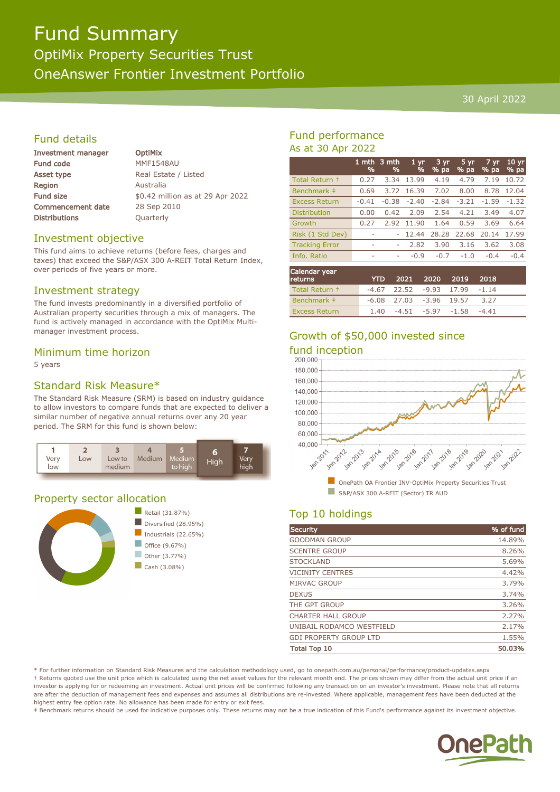# Fund Summary

OptiMix Property Securities Trust OneAnswer Frontier Investment Portfolio

#### 30 April 2022

# Fund details

| Investment manager       |  |  |
|--------------------------|--|--|
| <b>Fund code</b>         |  |  |
| Asset type               |  |  |
| Region                   |  |  |
| <b>Fund size</b>         |  |  |
| <b>Commencement date</b> |  |  |
| <b>Distributions</b>     |  |  |

**OptiMix** MMF1548AU Real Estate / Listed **Australia** \$0.42 million as at 29 Apr 2022 28 Sep 2010 **Quarterly** 

### Investment objective

This fund aims to achieve returns (before fees, charges and taxes) that exceed the S&P/ASX 300 A-REIT Total Return Index, over periods of five years or more.

### Investment strategy

The fund invests predominantly in a diversified portfolio of Australian property securities through a mix of managers. The fund is actively managed in accordance with the OptiMix Multimanager investment process.

#### Minimum time horizon

5 years

# Standard Risk Measure\*

The Standard Risk Measure (SRM) is based on industry guidance to allow investors to compare funds that are expected to deliver a similar number of negative annual returns over any 20 year period. The SRM for this fund is shown below:



# Property sector allocation



# Fund performance As at 30 Apr 2022

|                       | 1 mth<br>% | 3 mth<br>% | 1 yr<br>% | 3 yr<br>$%$ pa | 5 yr<br>$%$ pa | 7 yr<br>% pa | 10 <sub>yr</sub><br>% pa |
|-----------------------|------------|------------|-----------|----------------|----------------|--------------|--------------------------|
| Total Return +        | 0.27       | 3.34       | 13.99     | 4.19           | 4.79           | 7.19         | 10.72                    |
| Benchmark ‡           | 0.69       | 3.72       | 16.39     | 7.02           | 8.00           | 8.78         | 12.04                    |
| <b>Excess Return</b>  | $-0.41$    | $-0.38$    | $-2.40$   | $-2.84$        | $-3.21$        | $-1.59$      | $-1.32$                  |
| <b>Distribution</b>   | 0.00       | 0.42       | 2.09      | 2.54           | 4.21           | 3.49         | 4.07                     |
| Growth                | 0.27       | 2.92       | 11.90     | 1.64           | 0.59           | 3.69         | 6.64                     |
| Risk (1 Std Dev)      | ۰          |            | 12.44     | 28.28          | 22.68          | 20.14        | 17.99                    |
| <b>Tracking Error</b> | ۰          | ۰          | 2.82      | 3.90           | 3.16           | 3.62         | 3.08                     |
| Info. Ratio           | ۰          | ۰          | $-0.9$    | $-0.7$         | $-1.0$         | $-0.4$       | $-0.4$                   |
|                       |            |            |           |                |                |              |                          |

| Calendar year<br><b>returns</b> | <b>YTD</b> |                             | 2021 2020 2019    |                                     | 2018    |  |
|---------------------------------|------------|-----------------------------|-------------------|-------------------------------------|---------|--|
| Total Return +                  |            |                             |                   | $-4.67$ 22.52 $-9.93$ 17.99 $-1.14$ |         |  |
| Benchmark #                     |            | $-6.08$ 27.03 $-3.96$ 19.57 |                   |                                     | 3.27    |  |
| <b>Excess Return</b>            | 1.40       |                             | -4.51 -5.97 -1.58 |                                     | $-4.41$ |  |

# Growth of \$50,000 invested since

# fund inception<br>200.000



# Top 10 holdings

| <b>Security</b>               | % of fund |
|-------------------------------|-----------|
| <b>GOODMAN GROUP</b>          | 14.89%    |
| <b>SCENTRE GROUP</b>          | 8.26%     |
| <b>STOCKLAND</b>              | 5.69%     |
| <b>VICINITY CENTRES</b>       | 4.42%     |
| <b>MIRVAC GROUP</b>           | 3.79%     |
| <b>DEXUS</b>                  | 3.74%     |
| THE GPT GROUP                 | 3.26%     |
| <b>CHARTER HALL GROUP</b>     | 2.27%     |
| UNIBAIL RODAMCO WESTFIELD     | 2.17%     |
| <b>GDI PROPERTY GROUP LTD</b> | 1.55%     |
| <b>Total Top 10</b>           | 50.03%    |

\* For further information on Standard Risk Measures and the calculation methodology used, go to onepath.com.au/personal/performance/product-updates.aspx † Returns quoted use the unit price which is calculated using the net asset values for the relevant month end. The prices shown may differ from the actual unit price if an investor is applying for or redeeming an investment. Actual unit prices will be confirmed following any transaction on an investor's investment. Please note that all returns are after the deduction of management fees and expenses and assumes all distributions are re-invested. Where applicable, management fees have been deducted at the highest entry fee option rate. No allowance has been made for entry or exit fees.

‡ Benchmark returns should be used for indicative purposes only. These returns may not be a true indication of this Fund's performance against its investment objective.